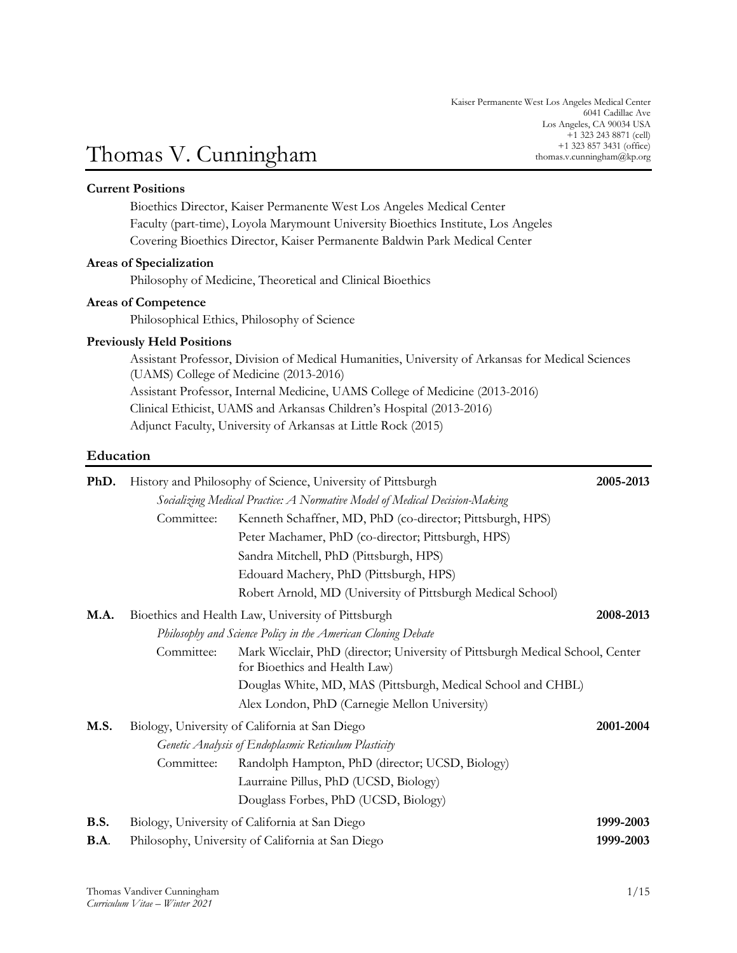# +1 323 857 3431 (office) Thomas V. Cunningham thomas.v.cunningham@kp.org

# **Current Positions**

Bioethics Director, Kaiser Permanente West Los Angeles Medical Center Faculty (part-time), Loyola Marymount University Bioethics Institute, Los Angeles Covering Bioethics Director, Kaiser Permanente Baldwin Park Medical Center

### **Areas of Specialization**

Philosophy of Medicine, Theoretical and Clinical Bioethics

### **Areas of Competence**

Philosophical Ethics, Philosophy of Science

# **Previously Held Positions**

Assistant Professor, Division of Medical Humanities, University of Arkansas for Medical Sciences (UAMS) College of Medicine (2013-2016) Assistant Professor, Internal Medicine, UAMS College of Medicine (2013-2016) Clinical Ethicist, UAMS and Arkansas Children's Hospital (2013-2016) Adjunct Faculty, University of Arkansas at Little Rock (2015)

# **Education**

| PhD.        | History and Philosophy of Science, University of Pittsburgh                |                                                                                                                | 2005-2013 |
|-------------|----------------------------------------------------------------------------|----------------------------------------------------------------------------------------------------------------|-----------|
|             | Socializing Medical Practice: A Normative Model of Medical Decision-Making |                                                                                                                |           |
|             | Committee:                                                                 | Kenneth Schaffner, MD, PhD (co-director; Pittsburgh, HPS)                                                      |           |
|             |                                                                            | Peter Machamer, PhD (co-director; Pittsburgh, HPS)                                                             |           |
|             |                                                                            | Sandra Mitchell, PhD (Pittsburgh, HPS)                                                                         |           |
|             |                                                                            | Edouard Machery, PhD (Pittsburgh, HPS)                                                                         |           |
|             |                                                                            | Robert Arnold, MD (University of Pittsburgh Medical School)                                                    |           |
| M.A.        |                                                                            | Bioethics and Health Law, University of Pittsburgh                                                             | 2008-2013 |
|             | Philosophy and Science Policy in the American Cloning Debate               |                                                                                                                |           |
|             | Committee:                                                                 | Mark Wicclair, PhD (director; University of Pittsburgh Medical School, Center<br>for Bioethics and Health Law) |           |
|             |                                                                            | Douglas White, MD, MAS (Pittsburgh, Medical School and CHBL)                                                   |           |
|             |                                                                            | Alex London, PhD (Carnegie Mellon University)                                                                  |           |
| M.S.        | Biology, University of California at San Diego                             |                                                                                                                | 2001-2004 |
|             | Genetic Analysis of Endoplasmic Reticulum Plasticity                       |                                                                                                                |           |
|             | Committee:                                                                 | Randolph Hampton, PhD (director; UCSD, Biology)                                                                |           |
|             |                                                                            | Laurraine Pillus, PhD (UCSD, Biology)                                                                          |           |
|             |                                                                            | Douglass Forbes, PhD (UCSD, Biology)                                                                           |           |
| <b>B.S.</b> | Biology, University of California at San Diego                             |                                                                                                                | 1999-2003 |
| <b>B.A.</b> | Philosophy, University of California at San Diego                          |                                                                                                                | 1999-2003 |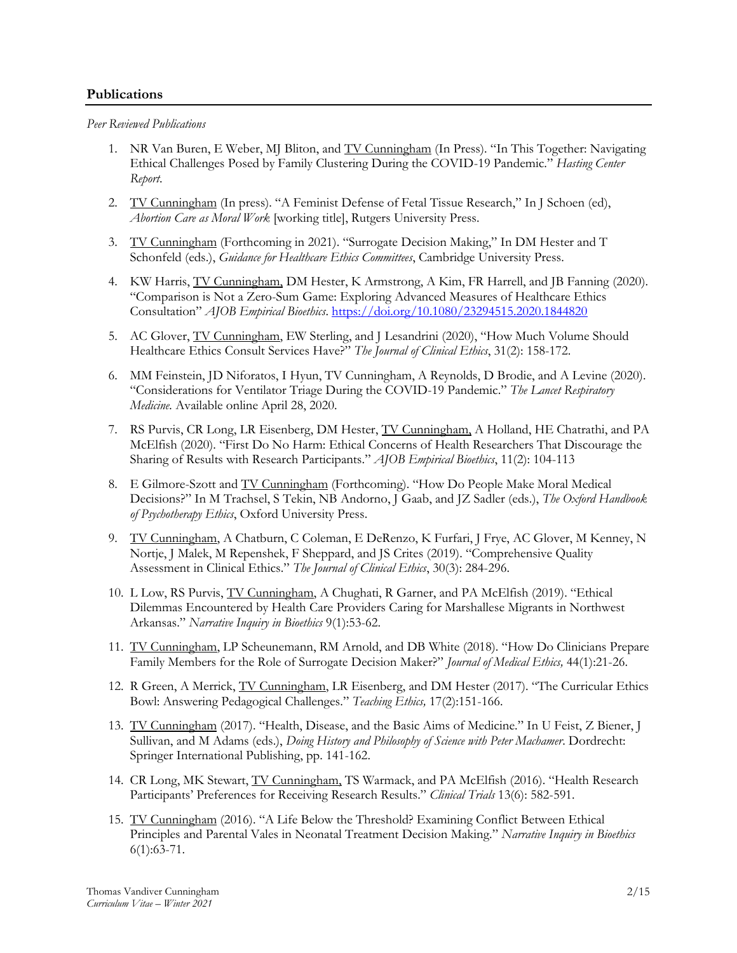# **Publications**

*Peer Reviewed Publications*

- 1. NR Van Buren, E Weber, MJ Bliton, and TV Cunningham (In Press). "In This Together: Navigating Ethical Challenges Posed by Family Clustering During the COVID-19 Pandemic." *Hasting Center Report*.
- 2. TV Cunningham (In press). "A Feminist Defense of Fetal Tissue Research," In J Schoen (ed), *Abortion Care as Moral Work* [working title], Rutgers University Press.
- 3. TV Cunningham (Forthcoming in 2021). "Surrogate Decision Making," In DM Hester and T Schonfeld (eds.), *Guidance for Healthcare Ethics Committees*, Cambridge University Press.
- 4. KW Harris, **TV Cunningham, DM Hester, K Armstrong, A Kim, FR Harrell, and JB Fanning (2020).** "Comparison is Not a Zero-Sum Game: Exploring Advanced Measures of Healthcare Ethics Consultation" *AJOB Empirical Bioethics*. <https://doi.org/10.1080/23294515.2020.1844820>
- 5. AC Glover, TV Cunningham, EW Sterling, and J Lesandrini (2020), "How Much Volume Should Healthcare Ethics Consult Services Have?" *The Journal of Clinical Ethics*, 31(2): 158-172.
- 6. MM Feinstein, JD Niforatos, I Hyun, TV Cunningham, A Reynolds, D Brodie, and A Levine (2020). "Considerations for Ventilator Triage During the COVID-19 Pandemic." *The Lancet Respiratory Medicine.* Available online April 28, 2020.
- 7. RS Purvis, CR Long, LR Eisenberg, DM Hester, TV Cunningham, A Holland, HE Chatrathi, and PA McElfish (2020). "First Do No Harm: Ethical Concerns of Health Researchers That Discourage the Sharing of Results with Research Participants." *AJOB Empirical Bioethics*, 11(2): 104-113
- 8. E Gilmore-Szott and TV Cunningham (Forthcoming). "How Do People Make Moral Medical Decisions?" In M Trachsel, S Tekin, NB Andorno, J Gaab, and JZ Sadler (eds.), *The Oxford Handbook of Psychotherapy Ethics*, Oxford University Press.
- 9. TV Cunningham, A Chatburn, C Coleman, E DeRenzo, K Furfari, J Frye, AC Glover, M Kenney, N Nortje, J Malek, M Repenshek, F Sheppard, and JS Crites (2019). "Comprehensive Quality Assessment in Clinical Ethics." *The Journal of Clinical Ethics*, 30(3): 284-296.
- 10. L Low, RS Purvis, TV Cunningham, A Chughati, R Garner, and PA McElfish (2019). "Ethical Dilemmas Encountered by Health Care Providers Caring for Marshallese Migrants in Northwest Arkansas." *Narrative Inquiry in Bioethics* 9(1):53-62.
- 11. TV Cunningham, LP Scheunemann, RM Arnold, and DB White (2018). "How Do Clinicians Prepare Family Members for the Role of Surrogate Decision Maker?" *Journal of Medical Ethics,* 44(1):21-26.
- 12. R Green, A Merrick, TV Cunningham, LR Eisenberg, and DM Hester (2017). "The Curricular Ethics Bowl: Answering Pedagogical Challenges." *Teaching Ethics,* 17(2):151-166.
- 13. TV Cunningham (2017). "Health, Disease, and the Basic Aims of Medicine." In U Feist, Z Biener, J Sullivan, and M Adams (eds.), *Doing History and Philosophy of Science with Peter Machamer*. Dordrecht: Springer International Publishing, pp. 141-162.
- 14. CR Long, MK Stewart, TV Cunningham, TS Warmack, and PA McElfish (2016). "Health Research Participants' Preferences for Receiving Research Results." *Clinical Trials* 13(6): 582-591.
- 15. TV Cunningham (2016). "A Life Below the Threshold? Examining Conflict Between Ethical Principles and Parental Vales in Neonatal Treatment Decision Making." *Narrative Inquiry in Bioethics*  $6(1):63-71.$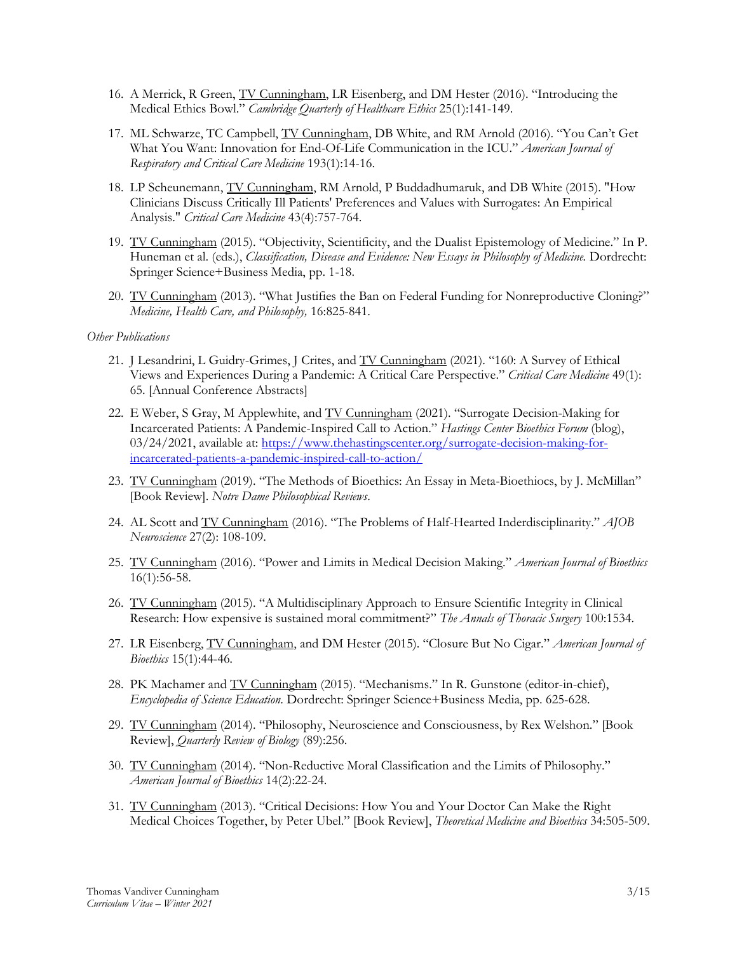- 16. A Merrick, R Green, TV Cunningham, LR Eisenberg, and DM Hester (2016). "Introducing the Medical Ethics Bowl." *Cambridge Quarterly of Healthcare Ethics* 25(1):141-149.
- 17. ML Schwarze, TC Campbell, TV Cunningham, DB White, and RM Arnold (2016). "You Can't Get What You Want: Innovation for End-Of-Life Communication in the ICU." *American Journal of Respiratory and Critical Care Medicine* 193(1):14-16.
- 18. LP Scheunemann, TV Cunningham, RM Arnold, P Buddadhumaruk, and DB White (2015). "How Clinicians Discuss Critically Ill Patients' Preferences and Values with Surrogates: An Empirical Analysis." *Critical Care Medicine* 43(4):757-764.
- 19. TV Cunningham (2015). "Objectivity, Scientificity, and the Dualist Epistemology of Medicine." In P. Huneman et al. (eds.), *Classification, Disease and Evidence: New Essays in Philosophy of Medicine.* Dordrecht: Springer Science+Business Media, pp. 1-18.
- 20. TV Cunningham (2013). "What Justifies the Ban on Federal Funding for Nonreproductive Cloning?" *Medicine, Health Care, and Philosophy,* 16:825-841.

### *Other Publications*

- 21. J Lesandrini, L Guidry-Grimes, J Crites, and TV Cunningham (2021). "160: A Survey of Ethical Views and Experiences During a Pandemic: A Critical Care Perspective." *Critical Care Medicine* 49(1): 65. [Annual Conference Abstracts]
- 22. E Weber, S Gray, M Applewhite, and TV Cunningham (2021). "Surrogate Decision-Making for Incarcerated Patients: A Pandemic-Inspired Call to Action." *Hastings Center Bioethics Forum* (blog), 03/24/2021, available at: [https://www.thehastingscenter.org/surrogate-decision-making-for](https://www.thehastingscenter.org/surrogate-decision-making-for-incarcerated-patients-a-pandemic-inspired-call-to-action/)[incarcerated-patients-a-pandemic-inspired-call-to-action/](https://www.thehastingscenter.org/surrogate-decision-making-for-incarcerated-patients-a-pandemic-inspired-call-to-action/)
- 23. TV Cunningham (2019). "The Methods of Bioethics: An Essay in Meta-Bioethiocs, by J. McMillan" [Book Review]. *Notre Dame Philosophical Reviews*.
- 24. AL Scott and TV Cunningham (2016). "The Problems of Half-Hearted Inderdisciplinarity." *AJOB Neuroscience* 27(2): 108-109.
- 25. TV Cunningham (2016). "Power and Limits in Medical Decision Making." *American Journal of Bioethics* 16(1):56-58.
- 26. TV Cunningham (2015). "A Multidisciplinary Approach to Ensure Scientific Integrity in Clinical Research: How expensive is sustained moral commitment?" *The Annals of Thoracic Surgery* 100:1534.
- 27. LR Eisenberg, TV Cunningham, and DM Hester (2015). "Closure But No Cigar." *American Journal of Bioethics* 15(1):44-46*.*
- 28. PK Machamer and TV Cunningham (2015). "Mechanisms." In R. Gunstone (editor-in-chief), *Encyclopedia of Science Education*. Dordrecht: Springer Science+Business Media, pp. 625-628.
- 29. TV Cunningham (2014). "Philosophy, Neuroscience and Consciousness, by Rex Welshon." [Book] Review], *Quarterly Review of Biology* (89):256.
- 30. TV Cunningham (2014). "Non-Reductive Moral Classification and the Limits of Philosophy." *American Journal of Bioethics* 14(2):22-24.
- 31. TV Cunningham (2013). "Critical Decisions: How You and Your Doctor Can Make the Right Medical Choices Together, by Peter Ubel." [Book Review], *Theoretical Medicine and Bioethics* 34:505-509.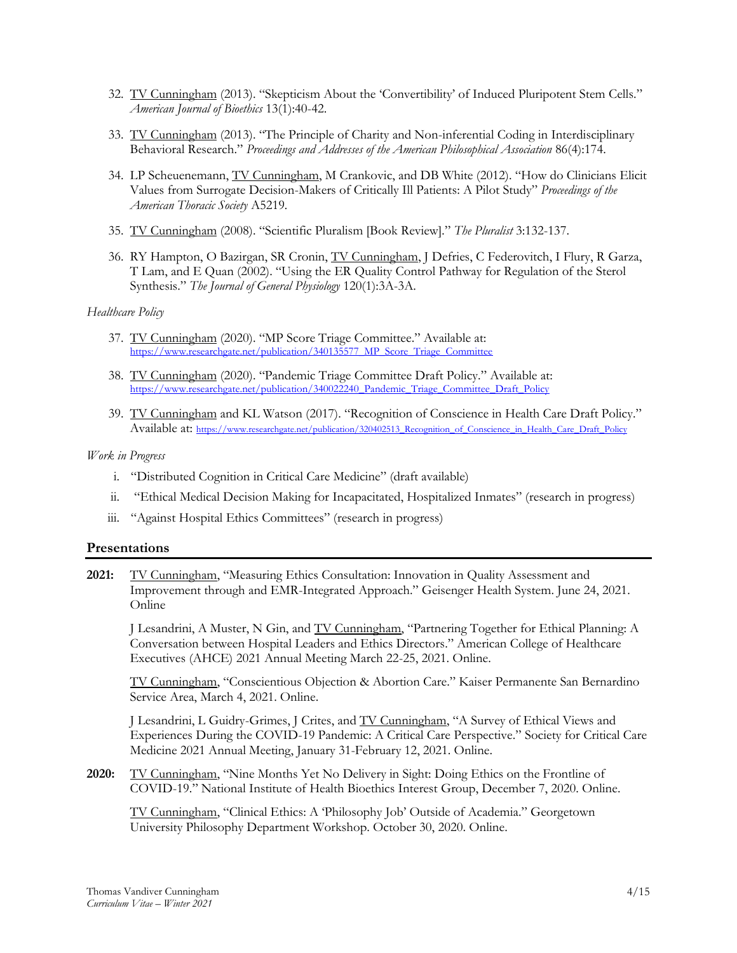- 32. TV Cunningham (2013). "Skepticism About the 'Convertibility' of Induced Pluripotent Stem Cells." *American Journal of Bioethics* 13(1):40-42.
- 33. TV Cunningham (2013). "The Principle of Charity and Non-inferential Coding in Interdisciplinary Behavioral Research." *Proceedings and Addresses of the American Philosophical Association* 86(4):174.
- 34. LP Scheuenemann, TV Cunningham, M Crankovic, and DB White (2012). "How do Clinicians Elicit Values from Surrogate Decision-Makers of Critically Ill Patients: A Pilot Study" *Proceedings of the American Thoracic Society* A5219*.*
- 35. TV Cunningham (2008). "Scientific Pluralism [Book Review]*.*" *The Pluralist* 3:132-137.
- 36. RY Hampton, O Bazirgan, SR Cronin, TV Cunningham, J Defries, C Federovitch, I Flury, R Garza, T Lam, and E Quan (2002). "Using the ER Quality Control Pathway for Regulation of the Sterol Synthesis." *The Journal of General Physiology* 120(1):3A-3A.

### *Healthcare Policy*

- 37. TV Cunningham (2020). "MP Score Triage Committee." Available at: [https://www.researchgate.net/publication/340135577\\_MP\\_Score\\_Triage\\_Committee](https://www.researchgate.net/publication/340135577_MP_Score_Triage_Committee)
- 38. TV Cunningham (2020). "Pandemic Triage Committee Draft Policy." Available at: [https://www.researchgate.net/publication/340022240\\_Pandemic\\_Triage\\_Committee\\_Draft\\_Policy](https://www.researchgate.net/publication/340022240_Pandemic_Triage_Committee_Draft_Policy)
- 39. TV Cunningham and KL Watson (2017). "Recognition of Conscience in Health Care Draft Policy." Available at: [https://www.researchgate.net/publication/320402513\\_Recognition\\_of\\_Conscience\\_in\\_Health\\_Care\\_Draft\\_Policy](https://www.researchgate.net/publication/320402513_Recognition_of_Conscience_in_Health_Care_Draft_Policy)

### *Work in Progress*

- i. "Distributed Cognition in Critical Care Medicine" (draft available)
- ii. "Ethical Medical Decision Making for Incapacitated, Hospitalized Inmates" (research in progress)
- iii. "Against Hospital Ethics Committees" (research in progress)

# **Presentations**

**2021:** TV Cunningham, "Measuring Ethics Consultation: Innovation in Quality Assessment and Improvement through and EMR-Integrated Approach." Geisenger Health System. June 24, 2021. Online

J Lesandrini, A Muster, N Gin, and TV Cunningham, "Partnering Together for Ethical Planning: A Conversation between Hospital Leaders and Ethics Directors." American College of Healthcare Executives (AHCE) 2021 Annual Meeting March 22-25, 2021. Online.

TV Cunningham, "Conscientious Objection & Abortion Care." Kaiser Permanente San Bernardino Service Area, March 4, 2021. Online.

J Lesandrini, L Guidry-Grimes, J Crites, and TV Cunningham, "A Survey of Ethical Views and Experiences During the COVID-19 Pandemic: A Critical Care Perspective." Society for Critical Care Medicine 2021 Annual Meeting, January 31-February 12, 2021. Online.

**2020:** TV Cunningham, "Nine Months Yet No Delivery in Sight: Doing Ethics on the Frontline of COVID-19." National Institute of Health Bioethics Interest Group, December 7, 2020. Online.

TV Cunningham, "Clinical Ethics: A 'Philosophy Job' Outside of Academia." Georgetown University Philosophy Department Workshop. October 30, 2020. Online.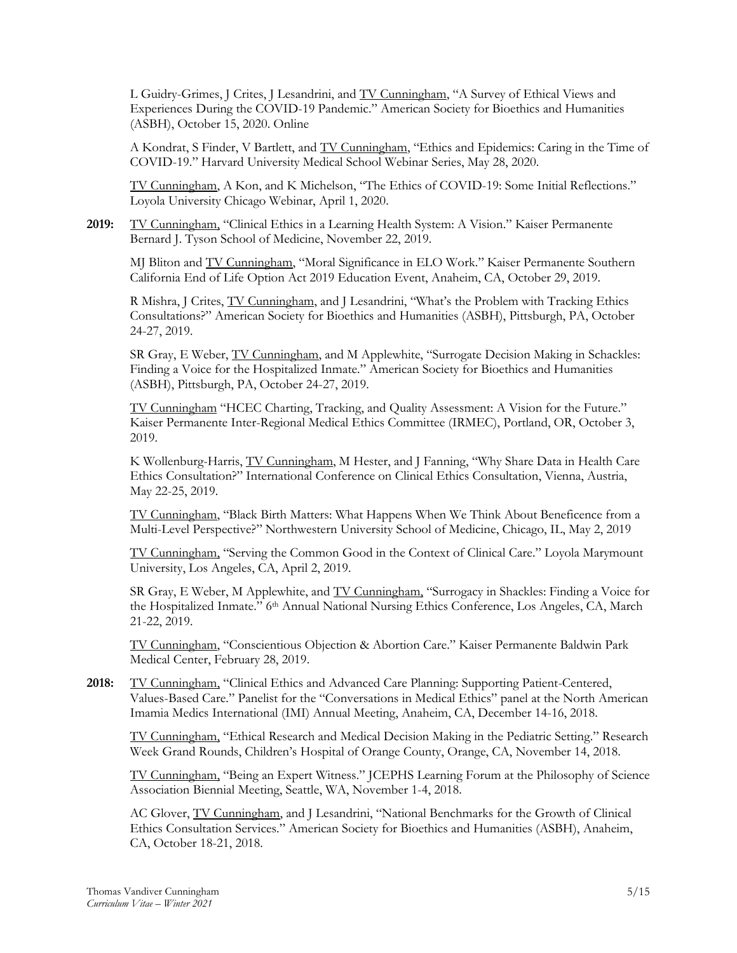L Guidry-Grimes, J Crites, J Lesandrini, and TV Cunningham, "A Survey of Ethical Views and Experiences During the COVID-19 Pandemic." American Society for Bioethics and Humanities (ASBH), October 15, 2020. Online

A Kondrat, S Finder, V Bartlett, and TV Cunningham, "Ethics and Epidemics: Caring in the Time of COVID-19." Harvard University Medical School Webinar Series, May 28, 2020.

TV Cunningham, A Kon, and K Michelson, "The Ethics of COVID-19: Some Initial Reflections." Loyola University Chicago Webinar, April 1, 2020.

**2019:** TV Cunningham, "Clinical Ethics in a Learning Health System: A Vision." Kaiser Permanente Bernard J. Tyson School of Medicine, November 22, 2019.

MJ Bliton and TV Cunningham, "Moral Significance in ELO Work." Kaiser Permanente Southern California End of Life Option Act 2019 Education Event, Anaheim, CA, October 29, 2019.

R Mishra, J Crites, TV Cunningham, and J Lesandrini, "What's the Problem with Tracking Ethics Consultations?" American Society for Bioethics and Humanities (ASBH), Pittsburgh, PA, October 24-27, 2019.

SR Gray, E Weber, TV Cunningham, and M Applewhite, "Surrogate Decision Making in Schackles: Finding a Voice for the Hospitalized Inmate." American Society for Bioethics and Humanities (ASBH), Pittsburgh, PA, October 24-27, 2019.

TV Cunningham "HCEC Charting, Tracking, and Quality Assessment: A Vision for the Future." Kaiser Permanente Inter-Regional Medical Ethics Committee (IRMEC), Portland, OR, October 3, 2019.

K Wollenburg-Harris, TV Cunningham, M Hester, and J Fanning, "Why Share Data in Health Care Ethics Consultation?" International Conference on Clinical Ethics Consultation, Vienna, Austria, May 22-25, 2019.

TV Cunningham, "Black Birth Matters: What Happens When We Think About Beneficence from a Multi-Level Perspective?" Northwestern University School of Medicine, Chicago, IL, May 2, 2019

TV Cunningham, "Serving the Common Good in the Context of Clinical Care." Loyola Marymount University, Los Angeles, CA, April 2, 2019.

SR Gray, E Weber, M Applewhite, and TV Cunningham, "Surrogacy in Shackles: Finding a Voice for the Hospitalized Inmate." 6<sup>th</sup> Annual National Nursing Ethics Conference, Los Angeles, CA, March 21-22, 2019.

TV Cunningham, "Conscientious Objection & Abortion Care." Kaiser Permanente Baldwin Park Medical Center, February 28, 2019.

**2018:** TV Cunningham, "Clinical Ethics and Advanced Care Planning: Supporting Patient-Centered, Values-Based Care." Panelist for the "Conversations in Medical Ethics" panel at the North American Imamia Medics International (IMI) Annual Meeting, Anaheim, CA, December 14-16, 2018.

TV Cunningham, "Ethical Research and Medical Decision Making in the Pediatric Setting." Research Week Grand Rounds, Children's Hospital of Orange County, Orange, CA, November 14, 2018.

TV Cunningham, "Being an Expert Witness." JCEPHS Learning Forum at the Philosophy of Science Association Biennial Meeting, Seattle, WA, November 1-4, 2018.

AC Glover, TV Cunningham, and J Lesandrini, "National Benchmarks for the Growth of Clinical Ethics Consultation Services." American Society for Bioethics and Humanities (ASBH), Anaheim, CA, October 18-21, 2018.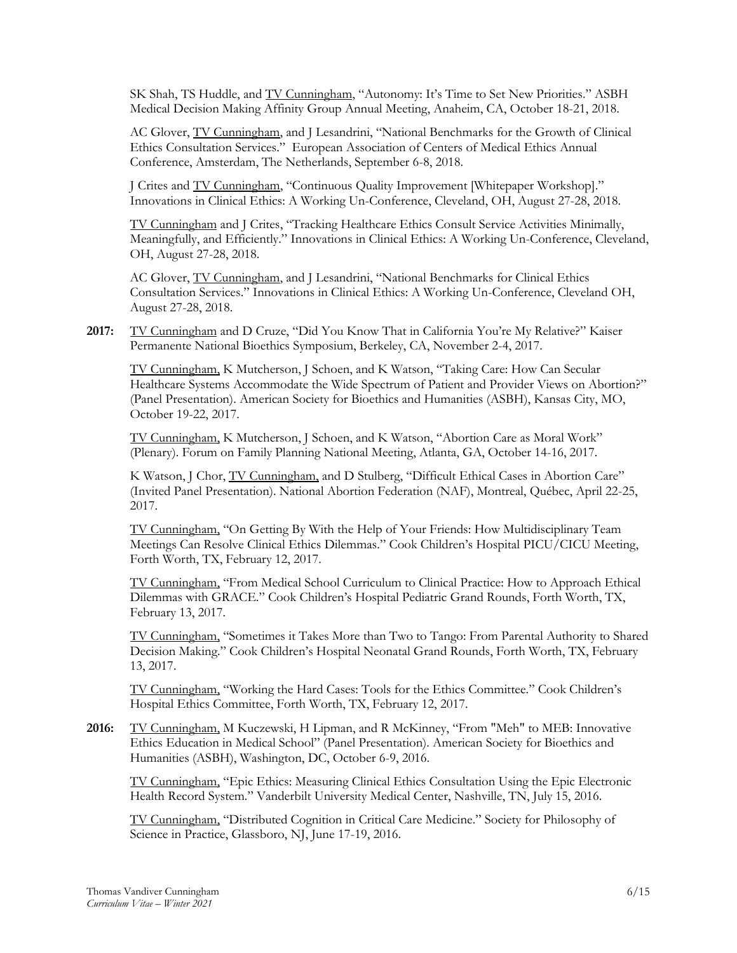SK Shah, TS Huddle, and TV Cunningham, "Autonomy: It's Time to Set New Priorities." ASBH Medical Decision Making Affinity Group Annual Meeting, Anaheim, CA, October 18-21, 2018.

AC Glover, TV Cunningham, and J Lesandrini, "National Benchmarks for the Growth of Clinical Ethics Consultation Services." European Association of Centers of Medical Ethics Annual Conference, Amsterdam, The Netherlands, September 6-8, 2018.

J Crites and TV Cunningham, "Continuous Quality Improvement [Whitepaper Workshop]." Innovations in Clinical Ethics: A Working Un-Conference, Cleveland, OH, August 27-28, 2018.

TV Cunningham and J Crites, "Tracking Healthcare Ethics Consult Service Activities Minimally, Meaningfully, and Efficiently." Innovations in Clinical Ethics: A Working Un-Conference, Cleveland, OH, August 27-28, 2018.

AC Glover, TV Cunningham, and J Lesandrini, "National Benchmarks for Clinical Ethics Consultation Services." Innovations in Clinical Ethics: A Working Un-Conference, Cleveland OH, August 27-28, 2018.

2017: TV Cunningham and D Cruze, "Did You Know That in California You're My Relative?" Kaiser Permanente National Bioethics Symposium, Berkeley, CA, November 2-4, 2017.

TV Cunningham, K Mutcherson, J Schoen, and K Watson, "Taking Care: How Can Secular Healthcare Systems Accommodate the Wide Spectrum of Patient and Provider Views on Abortion?" (Panel Presentation). American Society for Bioethics and Humanities (ASBH), Kansas City, MO, October 19-22, 2017.

TV Cunningham, K Mutcherson, J Schoen, and K Watson, "Abortion Care as Moral Work" (Plenary). Forum on Family Planning National Meeting, Atlanta, GA, October 14-16, 2017.

K Watson, J Chor, TV Cunningham, and D Stulberg, "Difficult Ethical Cases in Abortion Care" (Invited Panel Presentation). National Abortion Federation (NAF), Montreal, Québec, April 22-25, 2017.

TV Cunningham, "On Getting By With the Help of Your Friends: How Multidisciplinary Team Meetings Can Resolve Clinical Ethics Dilemmas." Cook Children's Hospital PICU/CICU Meeting, Forth Worth, TX, February 12, 2017.

TV Cunningham, "From Medical School Curriculum to Clinical Practice: How to Approach Ethical Dilemmas with GRACE." Cook Children's Hospital Pediatric Grand Rounds, Forth Worth, TX, February 13, 2017.

TV Cunningham, "Sometimes it Takes More than Two to Tango: From Parental Authority to Shared Decision Making." Cook Children's Hospital Neonatal Grand Rounds, Forth Worth, TX, February 13, 2017.

TV Cunningham, "Working the Hard Cases: Tools for the Ethics Committee." Cook Children's Hospital Ethics Committee, Forth Worth, TX, February 12, 2017.

**2016:** TV Cunningham, M Kuczewski, H Lipman, and R McKinney, "From "Meh" to MEB: Innovative Ethics Education in Medical School" (Panel Presentation). American Society for Bioethics and Humanities (ASBH), Washington, DC, October 6-9, 2016.

TV Cunningham, "Epic Ethics: Measuring Clinical Ethics Consultation Using the Epic Electronic Health Record System." Vanderbilt University Medical Center, Nashville, TN, July 15, 2016.

TV Cunningham, "Distributed Cognition in Critical Care Medicine." Society for Philosophy of Science in Practice, Glassboro, NJ, June 17-19, 2016.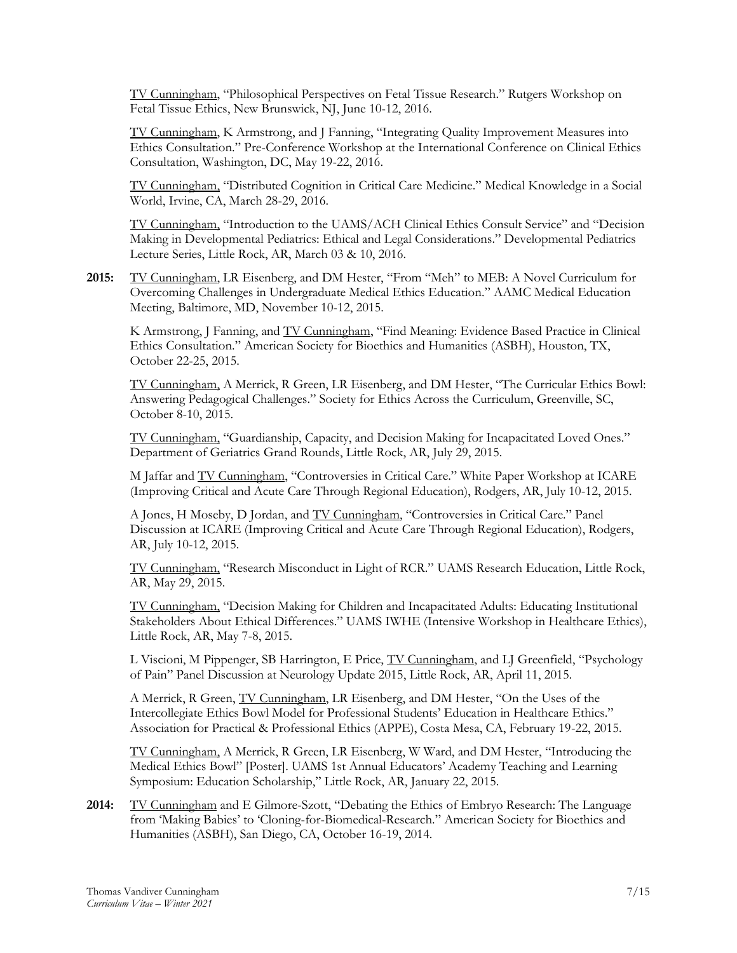TV Cunningham, "Philosophical Perspectives on Fetal Tissue Research." Rutgers Workshop on Fetal Tissue Ethics, New Brunswick, NJ, June 10-12, 2016.

TV Cunningham, K Armstrong, and J Fanning, "Integrating Quality Improvement Measures into Ethics Consultation." Pre-Conference Workshop at the International Conference on Clinical Ethics Consultation, Washington, DC, May 19-22, 2016.

TV Cunningham, "Distributed Cognition in Critical Care Medicine." Medical Knowledge in a Social World, Irvine, CA, March 28-29, 2016.

TV Cunningham, "Introduction to the UAMS/ACH Clinical Ethics Consult Service" and "Decision Making in Developmental Pediatrics: Ethical and Legal Considerations." Developmental Pediatrics Lecture Series, Little Rock, AR, March 03 & 10, 2016.

**2015:** TV Cunningham, LR Eisenberg, and DM Hester, "From "Meh" to MEB: A Novel Curriculum for Overcoming Challenges in Undergraduate Medical Ethics Education." AAMC Medical Education Meeting, Baltimore, MD, November 10-12, 2015.

K Armstrong, J Fanning, and TV Cunningham, "Find Meaning: Evidence Based Practice in Clinical Ethics Consultation." American Society for Bioethics and Humanities (ASBH), Houston, TX, October 22-25, 2015.

TV Cunningham, A Merrick, R Green, LR Eisenberg, and DM Hester, "The Curricular Ethics Bowl: Answering Pedagogical Challenges." Society for Ethics Across the Curriculum, Greenville, SC, October 8-10, 2015.

TV Cunningham, "Guardianship, Capacity, and Decision Making for Incapacitated Loved Ones." Department of Geriatrics Grand Rounds, Little Rock, AR, July 29, 2015.

M Jaffar and TV Cunningham, "Controversies in Critical Care." White Paper Workshop at ICARE (Improving Critical and Acute Care Through Regional Education), Rodgers, AR, July 10-12, 2015.

A Jones, H Moseby, D Jordan, and TV Cunningham, "Controversies in Critical Care." Panel Discussion at ICARE (Improving Critical and Acute Care Through Regional Education), Rodgers, AR, July 10-12, 2015.

TV Cunningham, "Research Misconduct in Light of RCR." UAMS Research Education, Little Rock, AR, May 29, 2015.

TV Cunningham, "Decision Making for Children and Incapacitated Adults: Educating Institutional Stakeholders About Ethical Differences." UAMS IWHE (Intensive Workshop in Healthcare Ethics), Little Rock, AR, May 7-8, 2015.

L Viscioni, M Pippenger, SB Harrington, E Price, TV Cunningham, and LJ Greenfield, "Psychology of Pain" Panel Discussion at Neurology Update 2015, Little Rock, AR, April 11, 2015.

A Merrick, R Green, TV Cunningham, LR Eisenberg, and DM Hester, "On the Uses of the Intercollegiate Ethics Bowl Model for Professional Students' Education in Healthcare Ethics." Association for Practical & Professional Ethics (APPE), Costa Mesa, CA, February 19-22, 2015.

TV Cunningham, A Merrick, R Green, LR Eisenberg, W Ward, and DM Hester, "Introducing the Medical Ethics Bowl" [Poster]. UAMS 1st Annual Educators' Academy Teaching and Learning Symposium: Education Scholarship," Little Rock, AR, January 22, 2015.

**2014:** TV Cunningham and E Gilmore-Szott, "Debating the Ethics of Embryo Research: The Language from 'Making Babies' to 'Cloning-for-Biomedical-Research." American Society for Bioethics and Humanities (ASBH), San Diego, CA, October 16-19, 2014.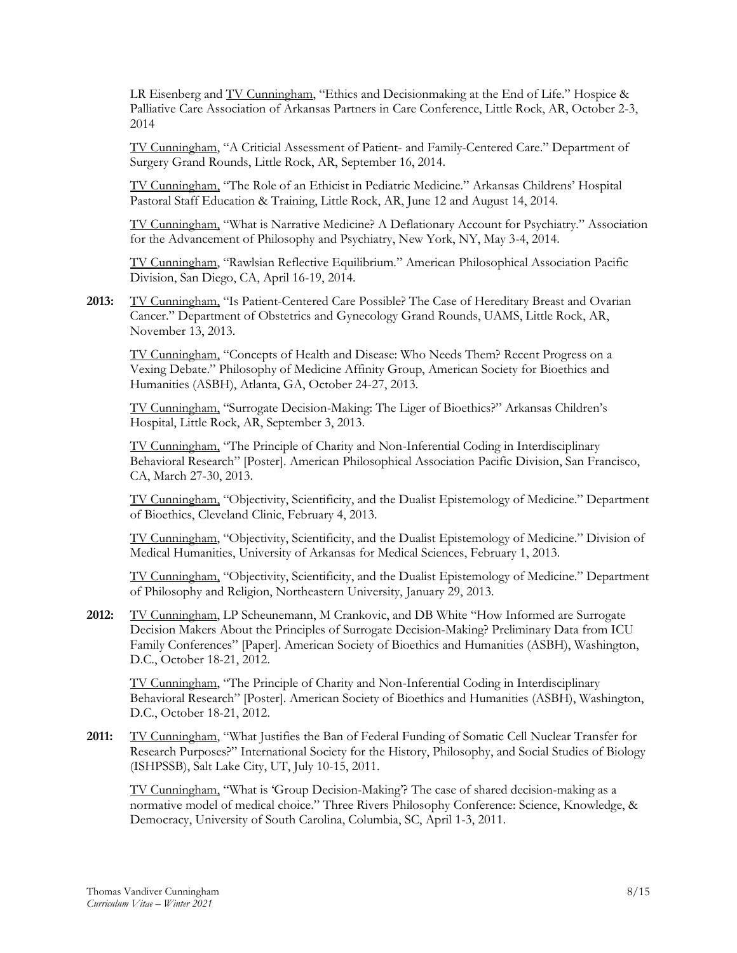LR Eisenberg and TV Cunningham, "Ethics and Decisionmaking at the End of Life." Hospice & Palliative Care Association of Arkansas Partners in Care Conference, Little Rock, AR, October 2-3, 2014

TV Cunningham, "A Criticial Assessment of Patient- and Family-Centered Care." Department of Surgery Grand Rounds, Little Rock, AR, September 16, 2014.

TV Cunningham, "The Role of an Ethicist in Pediatric Medicine." Arkansas Childrens' Hospital Pastoral Staff Education & Training, Little Rock, AR, June 12 and August 14, 2014.

TV Cunningham, "What is Narrative Medicine? A Deflationary Account for Psychiatry." Association for the Advancement of Philosophy and Psychiatry, New York, NY, May 3-4, 2014.

TV Cunningham, "Rawlsian Reflective Equilibrium." American Philosophical Association Pacific Division, San Diego, CA, April 16-19, 2014.

**2013:** TV Cunningham, "Is Patient-Centered Care Possible? The Case of Hereditary Breast and Ovarian Cancer." Department of Obstetrics and Gynecology Grand Rounds, UAMS, Little Rock, AR, November 13, 2013.

TV Cunningham, "Concepts of Health and Disease: Who Needs Them? Recent Progress on a Vexing Debate." Philosophy of Medicine Affinity Group, American Society for Bioethics and Humanities (ASBH), Atlanta, GA, October 24-27, 2013.

TV Cunningham, "Surrogate Decision-Making: The Liger of Bioethics?" Arkansas Children's Hospital, Little Rock, AR, September 3, 2013.

TV Cunningham, "The Principle of Charity and Non-Inferential Coding in Interdisciplinary Behavioral Research" [Poster]. American Philosophical Association Pacific Division, San Francisco, CA, March 27-30, 2013.

TV Cunningham, "Objectivity, Scientificity, and the Dualist Epistemology of Medicine." Department of Bioethics, Cleveland Clinic, February 4, 2013.

TV Cunningham, "Objectivity, Scientificity, and the Dualist Epistemology of Medicine." Division of Medical Humanities, University of Arkansas for Medical Sciences, February 1, 2013.

TV Cunningham, "Objectivity, Scientificity, and the Dualist Epistemology of Medicine." Department of Philosophy and Religion, Northeastern University, January 29, 2013.

**2012:** TV Cunningham, LP Scheunemann, M Crankovic, and DB White "How Informed are Surrogate Decision Makers About the Principles of Surrogate Decision-Making? Preliminary Data from ICU Family Conferences" [Paper]. American Society of Bioethics and Humanities (ASBH), Washington, D.C., October 18-21, 2012.

TV Cunningham, "The Principle of Charity and Non-Inferential Coding in Interdisciplinary Behavioral Research" [Poster]. American Society of Bioethics and Humanities (ASBH), Washington, D.C., October 18-21, 2012.

2011: TV Cunningham, "What Justifies the Ban of Federal Funding of Somatic Cell Nuclear Transfer for Research Purposes?" International Society for the History, Philosophy, and Social Studies of Biology (ISHPSSB), Salt Lake City, UT, July 10-15, 2011.

TV Cunningham, "What is 'Group Decision-Making'? The case of shared decision-making as a normative model of medical choice." Three Rivers Philosophy Conference: Science, Knowledge, & Democracy, University of South Carolina, Columbia, SC, April 1-3, 2011.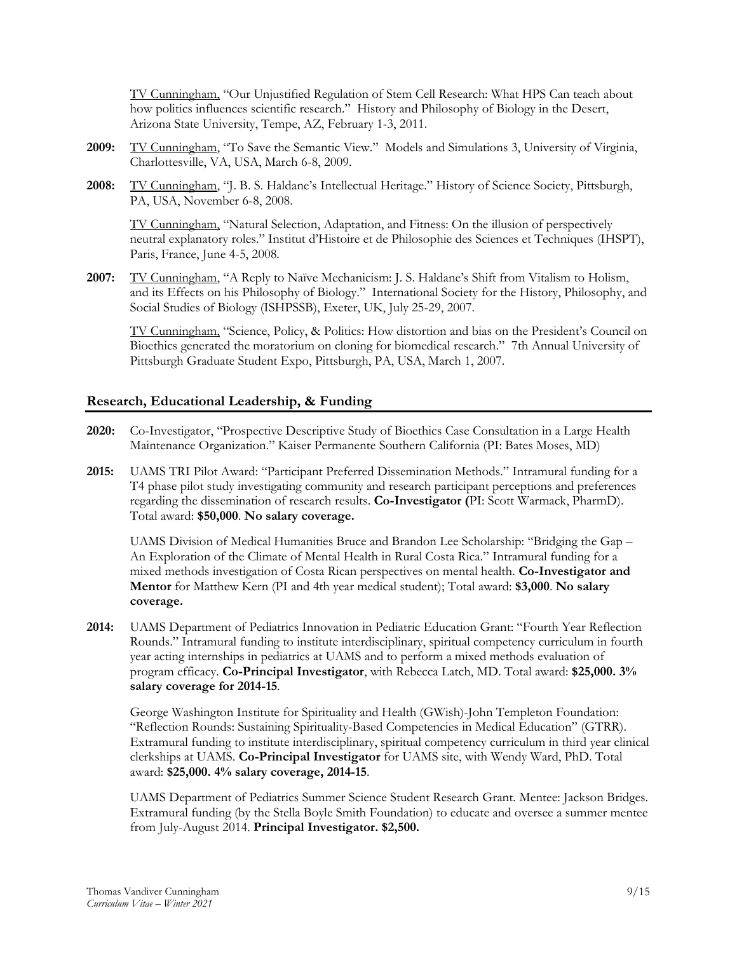TV Cunningham, "Our Unjustified Regulation of Stem Cell Research: What HPS Can teach about how politics influences scientific research." History and Philosophy of Biology in the Desert, Arizona State University, Tempe, AZ, February 1-3, 2011.

- **2009:** TV Cunningham, "To Save the Semantic View." Models and Simulations 3, University of Virginia, Charlottesville, VA, USA, March 6-8, 2009.
- **2008:** TV Cunningham, "J. B. S. Haldane's Intellectual Heritage." History of Science Society, Pittsburgh, PA, USA, November 6-8, 2008.

TV Cunningham, "Natural Selection, Adaptation, and Fitness: On the illusion of perspectively neutral explanatory roles." Institut d'Histoire et de Philosophie des Sciences et Techniques (IHSPT), Paris, France, June 4-5, 2008.

**2007:** TV Cunningham, "A Reply to Naïve Mechanicism: J. S. Haldane's Shift from Vitalism to Holism, and its Effects on his Philosophy of Biology." International Society for the History, Philosophy, and Social Studies of Biology (ISHPSSB), Exeter, UK, July 25-29, 2007.

TV Cunningham, "Science, Policy, & Politics: How distortion and bias on the President's Council on Bioethics generated the moratorium on cloning for biomedical research." 7th Annual University of Pittsburgh Graduate Student Expo, Pittsburgh, PA, USA, March 1, 2007.

# **Research, Educational Leadership, & Funding**

- **2020:** Co-Investigator, "Prospective Descriptive Study of Bioethics Case Consultation in a Large Health Maintenance Organization." Kaiser Permanente Southern California (PI: Bates Moses, MD)
- **2015:** UAMS TRI Pilot Award: "Participant Preferred Dissemination Methods." Intramural funding for a T4 phase pilot study investigating community and research participant perceptions and preferences regarding the dissemination of research results. **Co-Investigator (**PI: Scott Warmack, PharmD). Total award: **\$50,000**. **No salary coverage.**

UAMS Division of Medical Humanities Bruce and Brandon Lee Scholarship: "Bridging the Gap – An Exploration of the Climate of Mental Health in Rural Costa Rica." Intramural funding for a mixed methods investigation of Costa Rican perspectives on mental health. **Co-Investigator and Mentor** for Matthew Kern (PI and 4th year medical student); Total award: **\$3,000**. **No salary coverage.**

**2014:** UAMS Department of Pediatrics Innovation in Pediatric Education Grant: "Fourth Year Reflection Rounds." Intramural funding to institute interdisciplinary, spiritual competency curriculum in fourth year acting internships in pediatrics at UAMS and to perform a mixed methods evaluation of program efficacy. **Co-Principal Investigator**, with Rebecca Latch, MD. Total award: **\$25,000. 3% salary coverage for 2014-15**.

George Washington Institute for Spirituality and Health (GWish)-John Templeton Foundation: "Reflection Rounds: Sustaining Spirituality-Based Competencies in Medical Education" (GTRR). Extramural funding to institute interdisciplinary, spiritual competency curriculum in third year clinical clerkships at UAMS. **Co-Principal Investigator** for UAMS site, with Wendy Ward, PhD. Total award: **\$25,000. 4% salary coverage, 2014-15**.

UAMS Department of Pediatrics Summer Science Student Research Grant. Mentee: Jackson Bridges. Extramural funding (by the Stella Boyle Smith Foundation) to educate and oversee a summer mentee from July-August 2014. **Principal Investigator. \$2,500.**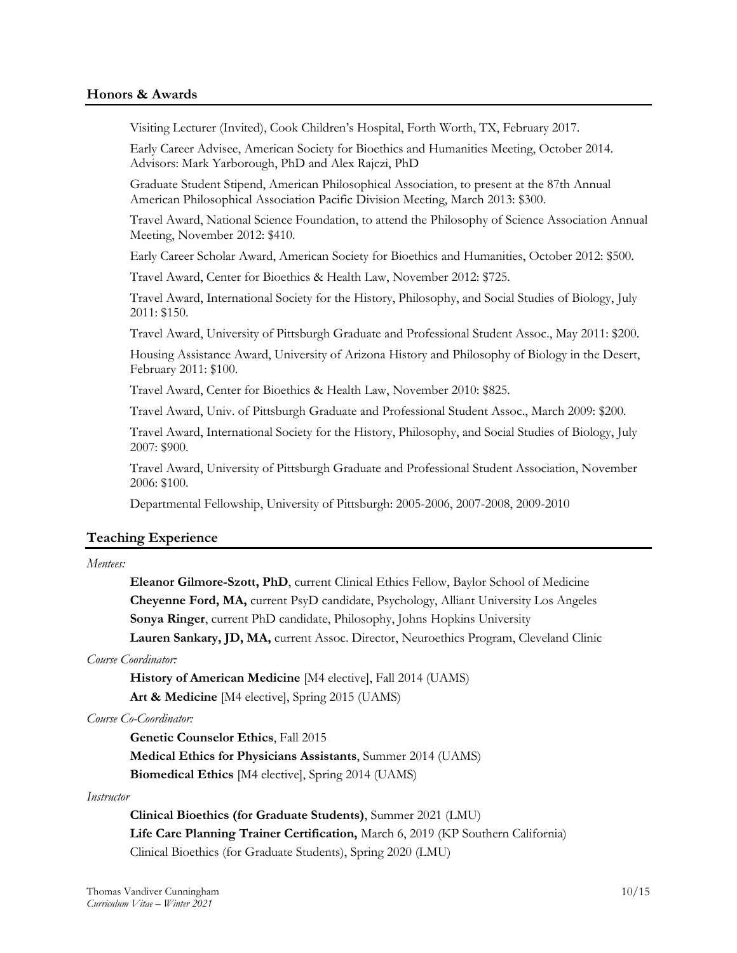### **Honors & Awards**

Visiting Lecturer (Invited), Cook Children's Hospital, Forth Worth, TX, February 2017.

Early Career Advisee, American Society for Bioethics and Humanities Meeting, October 2014. Advisors: Mark Yarborough, PhD and Alex Rajczi, PhD

Graduate Student Stipend, American Philosophical Association, to present at the 87th Annual American Philosophical Association Pacific Division Meeting, March 2013: \$300.

Travel Award, National Science Foundation, to attend the Philosophy of Science Association Annual Meeting, November 2012: \$410.

Early Career Scholar Award, American Society for Bioethics and Humanities, October 2012: \$500.

Travel Award, Center for Bioethics & Health Law, November 2012: \$725.

Travel Award, International Society for the History, Philosophy, and Social Studies of Biology, July 2011: \$150.

Travel Award, University of Pittsburgh Graduate and Professional Student Assoc., May 2011: \$200.

Housing Assistance Award, University of Arizona History and Philosophy of Biology in the Desert, February 2011: \$100.

Travel Award, Center for Bioethics & Health Law, November 2010: \$825.

Travel Award, Univ. of Pittsburgh Graduate and Professional Student Assoc., March 2009: \$200.

Travel Award, International Society for the History, Philosophy, and Social Studies of Biology, July 2007: \$900.

Travel Award, University of Pittsburgh Graduate and Professional Student Association, November 2006: \$100.

Departmental Fellowship, University of Pittsburgh: 2005-2006, 2007-2008, 2009-2010

### **Teaching Experience**

## *Mentees:*

**Eleanor Gilmore-Szott, PhD**, current Clinical Ethics Fellow, Baylor School of Medicine **Cheyenne Ford, MA,** current PsyD candidate, Psychology, Alliant University Los Angeles **Sonya Ringer**, current PhD candidate, Philosophy, Johns Hopkins University Lauren Sankary, JD, MA, current Assoc. Director, Neuroethics Program, Cleveland Clinic

#### *Course Coordinator:*

**History of American Medicine** [M4 elective], Fall 2014 (UAMS) **Art & Medicine** [M4 elective], Spring 2015 (UAMS)

*Course Co-Coordinator:*

**Genetic Counselor Ethics**, Fall 2015 **Medical Ethics for Physicians Assistants**, Summer 2014 (UAMS) **Biomedical Ethics** [M4 elective], Spring 2014 (UAMS)

#### *Instructor*

**Clinical Bioethics (for Graduate Students)**, Summer 2021 (LMU) **Life Care Planning Trainer Certification,** March 6, 2019 (KP Southern California) Clinical Bioethics (for Graduate Students), Spring 2020 (LMU)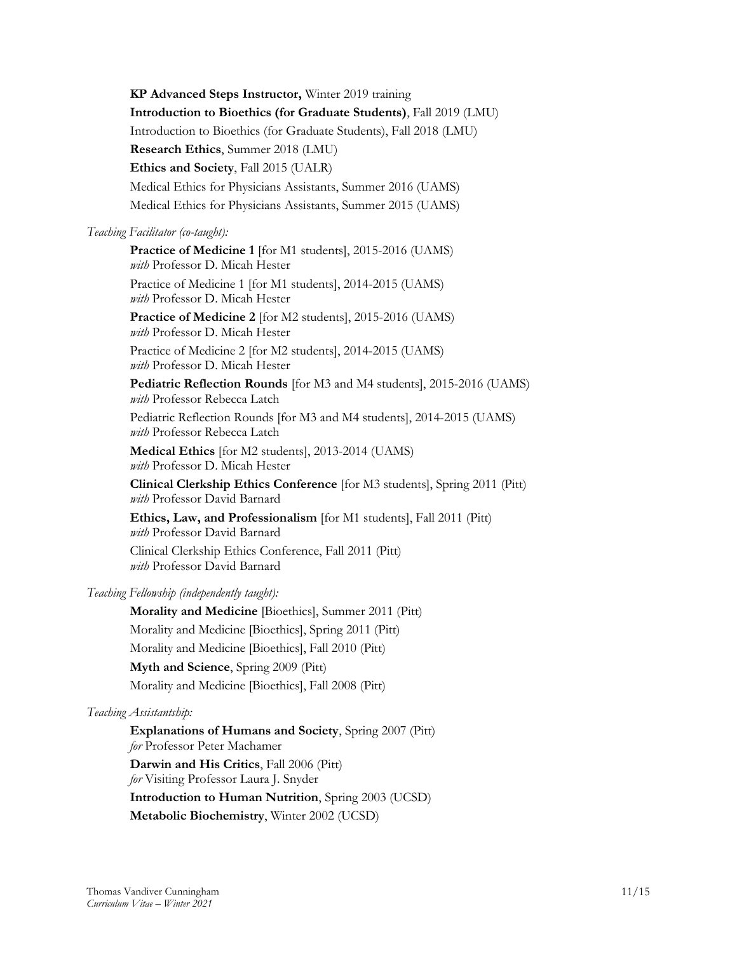**KP Advanced Steps Instructor,** Winter 2019 training **Introduction to Bioethics (for Graduate Students)**, Fall 2019 (LMU) Introduction to Bioethics (for Graduate Students), Fall 2018 (LMU) **Research Ethics**, Summer 2018 (LMU) **Ethics and Society**, Fall 2015 (UALR) Medical Ethics for Physicians Assistants, Summer 2016 (UAMS) Medical Ethics for Physicians Assistants, Summer 2015 (UAMS)

### *Teaching Facilitator (co-taught):*

**Practice of Medicine 1** [for M1 students], 2015-2016 (UAMS) *with* Professor D. Micah Hester Practice of Medicine 1 [for M1 students], 2014-2015 (UAMS) *with* Professor D. Micah Hester **Practice of Medicine 2** [for M2 students], 2015-2016 (UAMS) *with* Professor D. Micah Hester Practice of Medicine 2 [for M2 students], 2014-2015 (UAMS) *with* Professor D. Micah Hester **Pediatric Reflection Rounds** [for M3 and M4 students], 2015-2016 (UAMS) *with* Professor Rebecca Latch Pediatric Reflection Rounds [for M3 and M4 students], 2014-2015 (UAMS) *with* Professor Rebecca Latch **Medical Ethics** [for M2 students], 2013-2014 (UAMS) *with* Professor D. Micah Hester **Clinical Clerkship Ethics Conference** [for M3 students], Spring 2011 (Pitt) *with* Professor David Barnard **Ethics, Law, and Professionalism** [for M1 students], Fall 2011 (Pitt) *with* Professor David Barnard Clinical Clerkship Ethics Conference, Fall 2011 (Pitt)

*with* Professor David Barnard

# *Teaching Fellowship (independently taught):*

**Morality and Medicine** [Bioethics], Summer 2011 (Pitt) Morality and Medicine [Bioethics], Spring 2011 (Pitt) Morality and Medicine [Bioethics], Fall 2010 (Pitt) **Myth and Science**, Spring 2009 (Pitt) Morality and Medicine [Bioethics], Fall 2008 (Pitt)

# *Teaching Assistantship:*

**Explanations of Humans and Society**, Spring 2007 (Pitt) *for* Professor Peter Machamer **Darwin and His Critics**, Fall 2006 (Pitt) *for* Visiting Professor Laura J. Snyder **Introduction to Human Nutrition**, Spring 2003 (UCSD) **Metabolic Biochemistry**, Winter 2002 (UCSD)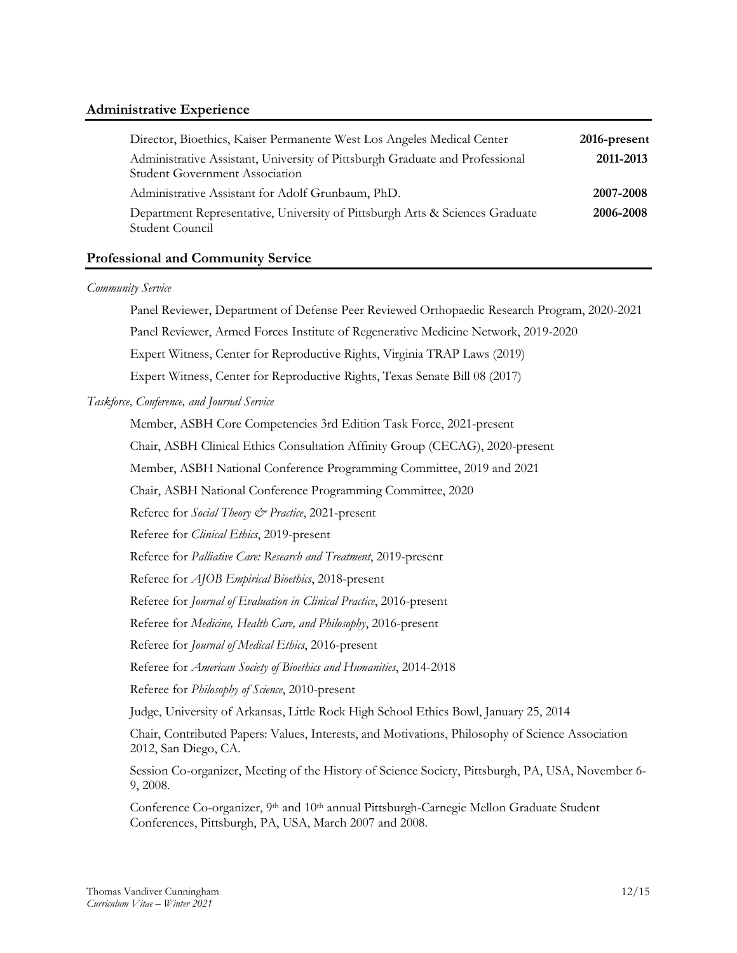# **Administrative Experience**

| Director, Bioethics, Kaiser Permanente West Los Angeles Medical Center                                                | 2016-present |
|-----------------------------------------------------------------------------------------------------------------------|--------------|
| Administrative Assistant, University of Pittsburgh Graduate and Professional<br><b>Student Government Association</b> | 2011-2013    |
| Administrative Assistant for Adolf Grunbaum, PhD.                                                                     | 2007-2008    |
| Department Representative, University of Pittsburgh Arts & Sciences Graduate<br>Student Council                       | 2006-2008    |

# **Professional and Community Service**

### *Community Service*

Panel Reviewer, Department of Defense Peer Reviewed Orthopaedic Research Program, 2020-2021

Panel Reviewer, Armed Forces Institute of Regenerative Medicine Network, 2019-2020

Expert Witness, Center for Reproductive Rights, Virginia TRAP Laws (2019)

Expert Witness, Center for Reproductive Rights, Texas Senate Bill 08 (2017)

### *Taskforce, Conference, and Journal Service*

Member, ASBH Core Competencies 3rd Edition Task Force, 2021-present

Chair, ASBH Clinical Ethics Consultation Affinity Group (CECAG), 2020-present

Member, ASBH National Conference Programming Committee, 2019 and 2021

Chair, ASBH National Conference Programming Committee, 2020

Referee for *Social Theory & Practice*, 2021-present

Referee for *Clinical Ethics*, 2019-present

Referee for *Palliative Care: Research and Treatment*, 2019-present

Referee for *AJOB Empirical Bioethics*, 2018-present

Referee for *Journal of Evaluation in Clinical Practice*, 2016-present

Referee for *Medicine, Health Care, and Philosophy*, 2016-present

Referee for *Journal of Medical Ethics*, 2016-present

Referee for *American Society of Bioethics and Humanities*, 2014-2018

Referee for *Philosophy of Science*, 2010-present

Judge, University of Arkansas, Little Rock High School Ethics Bowl, January 25, 2014

Chair, Contributed Papers: Values, Interests, and Motivations, Philosophy of Science Association 2012, San Diego, CA.

Session Co-organizer, Meeting of the History of Science Society, Pittsburgh, PA, USA, November 6- 9, 2008.

Conference Co-organizer, 9<sup>th</sup> and 10<sup>th</sup> annual Pittsburgh-Carnegie Mellon Graduate Student Conferences, Pittsburgh, PA, USA, March 2007 and 2008.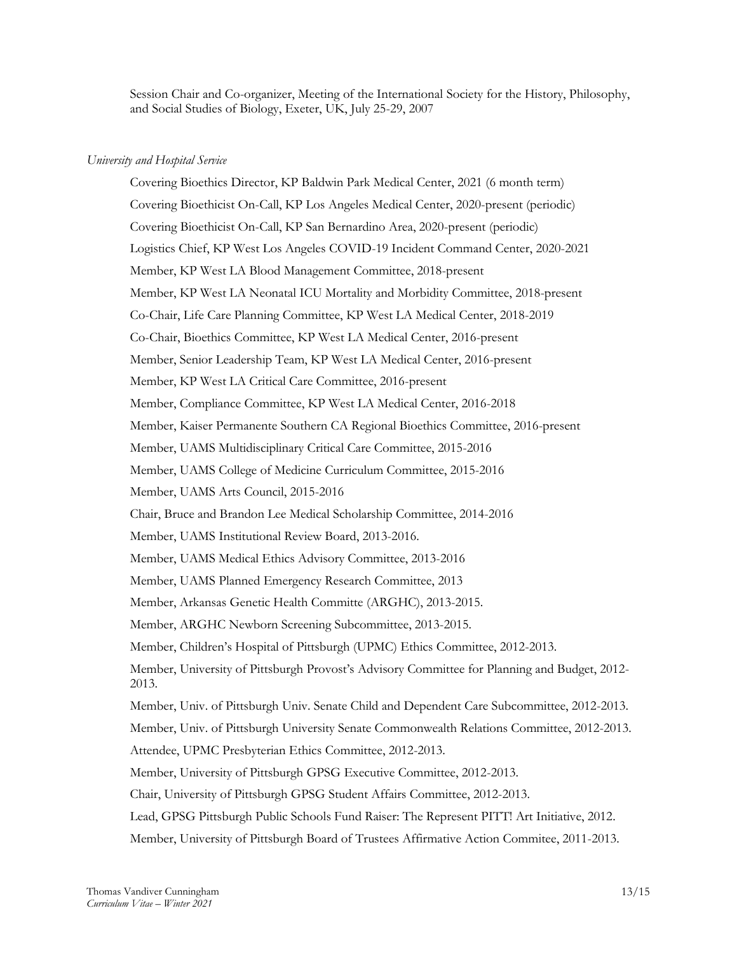Session Chair and Co-organizer, Meeting of the International Society for the History, Philosophy, and Social Studies of Biology, Exeter, UK, July 25-29, 2007

### *University and Hospital Service*

Covering Bioethics Director, KP Baldwin Park Medical Center, 2021 (6 month term) Covering Bioethicist On-Call, KP Los Angeles Medical Center, 2020-present (periodic) Covering Bioethicist On-Call, KP San Bernardino Area, 2020-present (periodic) Logistics Chief, KP West Los Angeles COVID-19 Incident Command Center, 2020-2021 Member, KP West LA Blood Management Committee, 2018-present Member, KP West LA Neonatal ICU Mortality and Morbidity Committee, 2018-present Co-Chair, Life Care Planning Committee, KP West LA Medical Center, 2018-2019 Co-Chair, Bioethics Committee, KP West LA Medical Center, 2016-present Member, Senior Leadership Team, KP West LA Medical Center, 2016-present Member, KP West LA Critical Care Committee, 2016-present Member, Compliance Committee, KP West LA Medical Center, 2016-2018 Member, Kaiser Permanente Southern CA Regional Bioethics Committee, 2016-present Member, UAMS Multidisciplinary Critical Care Committee, 2015-2016 Member, UAMS College of Medicine Curriculum Committee, 2015-2016 Member, UAMS Arts Council, 2015-2016 Chair, Bruce and Brandon Lee Medical Scholarship Committee, 2014-2016 Member, UAMS Institutional Review Board, 2013-2016. Member, UAMS Medical Ethics Advisory Committee, 2013-2016 Member, UAMS Planned Emergency Research Committee, 2013 Member, Arkansas Genetic Health Committe (ARGHC), 2013-2015. Member, ARGHC Newborn Screening Subcommittee, 2013-2015. Member, Children's Hospital of Pittsburgh (UPMC) Ethics Committee, 2012-2013. Member, University of Pittsburgh Provost's Advisory Committee for Planning and Budget, 2012- 2013. Member, Univ. of Pittsburgh Univ. Senate Child and Dependent Care Subcommittee, 2012-2013. Member, Univ. of Pittsburgh University Senate Commonwealth Relations Committee, 2012-2013. Attendee, UPMC Presbyterian Ethics Committee, 2012-2013. Member, University of Pittsburgh GPSG Executive Committee, 2012-2013. Chair, University of Pittsburgh GPSG Student Affairs Committee, 2012-2013. Lead, GPSG Pittsburgh Public Schools Fund Raiser: The Represent PITT! Art Initiative, 2012. Member, University of Pittsburgh Board of Trustees Affirmative Action Commitee, 2011-2013.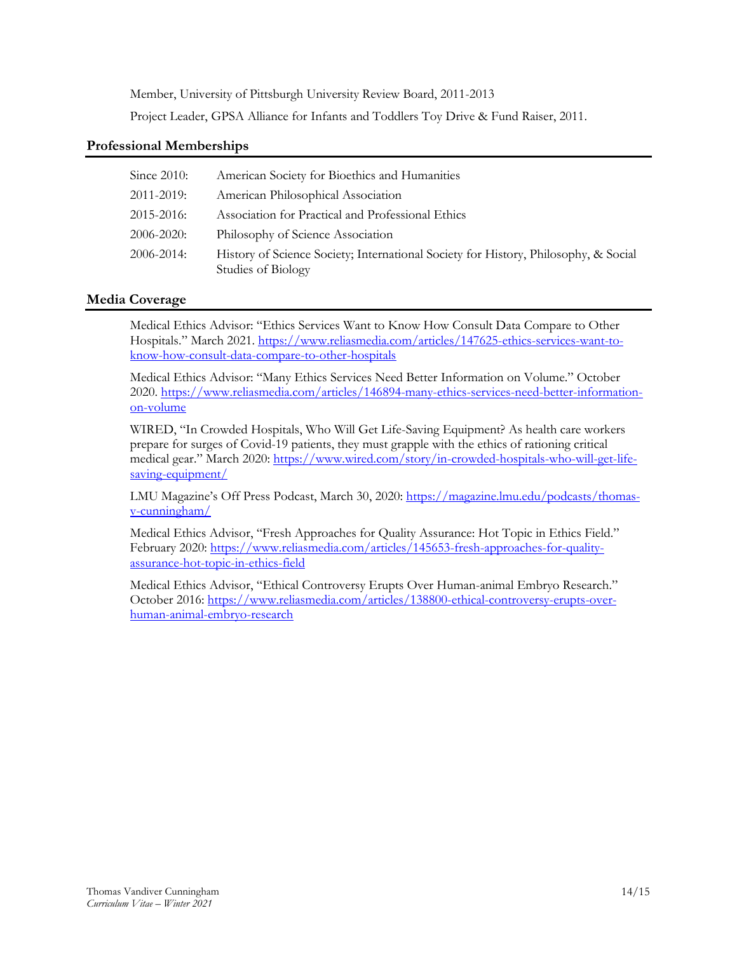Member, University of Pittsburgh University Review Board, 2011-2013 Project Leader, GPSA Alliance for Infants and Toddlers Toy Drive & Fund Raiser, 2011.

# **Professional Memberships**

| Since $2010$ :  | American Society for Bioethics and Humanities                                                             |
|-----------------|-----------------------------------------------------------------------------------------------------------|
| 2011-2019:      | American Philosophical Association                                                                        |
| $2015 - 2016$   | Association for Practical and Professional Ethics                                                         |
| 2006-2020:      | Philosophy of Science Association                                                                         |
| $2006 - 2014$ : | History of Science Society; International Society for History, Philosophy, & Social<br>Studies of Biology |

# **Media Coverage**

Medical Ethics Advisor: "Ethics Services Want to Know How Consult Data Compare to Other Hospitals." March 2021. [https://www.reliasmedia.com/articles/147625-ethics-services-want-to](https://www.reliasmedia.com/articles/147625-ethics-services-want-to-know-how-consult-data-compare-to-other-hospitals)[know-how-consult-data-compare-to-other-hospitals](https://www.reliasmedia.com/articles/147625-ethics-services-want-to-know-how-consult-data-compare-to-other-hospitals)

Medical Ethics Advisor: "Many Ethics Services Need Better Information on Volume." October 2020. [https://www.reliasmedia.com/articles/146894-many-ethics-services-need-better-information](https://www.reliasmedia.com/articles/146894-many-ethics-services-need-better-information-on-volume)[on-volume](https://www.reliasmedia.com/articles/146894-many-ethics-services-need-better-information-on-volume)

WIRED, "In Crowded Hospitals, Who Will Get Life-Saving Equipment? As health care workers prepare for surges of Covid-19 patients, they must grapple with the ethics of rationing critical medical gear." March 2020: [https://www.wired.com/story/in-crowded-hospitals-who-will-get-life](https://www.wired.com/story/in-crowded-hospitals-who-will-get-life-saving-equipment/)[saving-equipment/](https://www.wired.com/story/in-crowded-hospitals-who-will-get-life-saving-equipment/)

LMU Magazine's Off Press Podcast, March 30, 2020: [https://magazine.lmu.edu/podcasts/thomas](https://magazine.lmu.edu/podcasts/thomas-v-cunningham/)[v-cunningham/](https://magazine.lmu.edu/podcasts/thomas-v-cunningham/)

Medical Ethics Advisor, "Fresh Approaches for Quality Assurance: Hot Topic in Ethics Field." February 2020[: https://www.reliasmedia.com/articles/145653-fresh-approaches-for-quality](https://www.reliasmedia.com/articles/145653-fresh-approaches-for-quality-assurance-hot-topic-in-ethics-field)[assurance-hot-topic-in-ethics-field](https://www.reliasmedia.com/articles/145653-fresh-approaches-for-quality-assurance-hot-topic-in-ethics-field)

Medical Ethics Advisor, "Ethical Controversy Erupts Over Human-animal Embryo Research." October 2016: [https://www.reliasmedia.com/articles/138800-ethical-controversy-erupts-over](https://www.reliasmedia.com/articles/138800-ethical-controversy-erupts-over-human-animal-embryo-research)[human-animal-embryo-research](https://www.reliasmedia.com/articles/138800-ethical-controversy-erupts-over-human-animal-embryo-research)